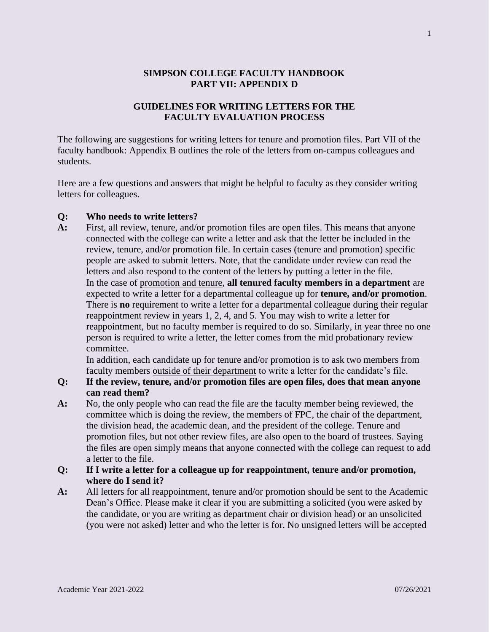#### **SIMPSON COLLEGE FACULTY HANDBOOK PART VII: APPENDIX D**

## **GUIDELINES FOR WRITING LETTERS FOR THE FACULTY EVALUATION PROCESS**

The following are suggestions for writing letters for tenure and promotion files. Part VII of the faculty handbook: Appendix B outlines the role of the letters from on-campus colleagues and students.

Here are a few questions and answers that might be helpful to faculty as they consider writing letters for colleagues.

#### **Q: Who needs to write letters?**

**A:** First, all review, tenure, and/or promotion files are open files. This means that anyone connected with the college can write a letter and ask that the letter be included in the review, tenure, and/or promotion file. In certain cases (tenure and promotion) specific people are asked to submit letters. Note, that the candidate under review can read the letters and also respond to the content of the letters by putting a letter in the file. In the case of promotion and tenure, **all tenured faculty members in a department** are expected to write a letter for a departmental colleague up for **tenure, and/or promotion**. There is **no** requirement to write a letter for a departmental colleague during their regular reappointment review in years 1, 2, 4, and 5. You may wish to write a letter for reappointment, but no faculty member is required to do so. Similarly, in year three no one person is required to write a letter, the letter comes from the mid probationary review committee.

In addition, each candidate up for tenure and/or promotion is to ask two members from faculty members outside of their department to write a letter for the candidate's file.

- **Q: If the review, tenure, and/or promotion files are open files, does that mean anyone can read them?**
- **A:** No, the only people who can read the file are the faculty member being reviewed, the committee which is doing the review, the members of FPC, the chair of the department, the division head, the academic dean, and the president of the college. Tenure and promotion files, but not other review files, are also open to the board of trustees. Saying the files are open simply means that anyone connected with the college can request to add a letter to the file.

## **Q: If I write a letter for a colleague up for reappointment, tenure and/or promotion, where do I send it?**

**A:** All letters for all reappointment, tenure and/or promotion should be sent to the Academic Dean's Office. Please make it clear if you are submitting a solicited (you were asked by the candidate, or you are writing as department chair or division head) or an unsolicited (you were not asked) letter and who the letter is for. No unsigned letters will be accepted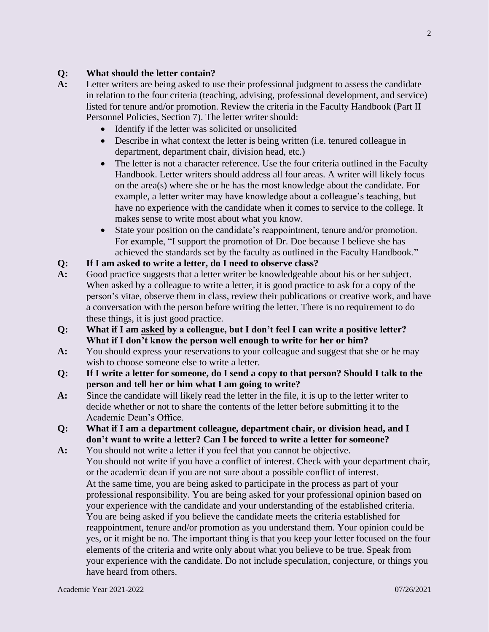## **Q: What should the letter contain?**

- **A:** Letter writers are being asked to use their professional judgment to assess the candidate in relation to the four criteria (teaching, advising, professional development, and service) listed for tenure and/or promotion. Review the criteria in the Faculty Handbook (Part II Personnel Policies, Section 7). The letter writer should:
	- Identify if the letter was solicited or unsolicited
	- Describe in what context the letter is being written (i.e. tenured colleague in department, department chair, division head, etc.)
	- The letter is not a character reference. Use the four criteria outlined in the Faculty Handbook. Letter writers should address all four areas. A writer will likely focus on the area(s) where she or he has the most knowledge about the candidate. For example, a letter writer may have knowledge about a colleague's teaching, but have no experience with the candidate when it comes to service to the college. It makes sense to write most about what you know.
	- State your position on the candidate's reappointment, tenure and/or promotion. For example, "I support the promotion of Dr. Doe because I believe she has achieved the standards set by the faculty as outlined in the Faculty Handbook."

# **Q: If I am asked to write a letter, do I need to observe class?**

- **A:** Good practice suggests that a letter writer be knowledgeable about his or her subject. When asked by a colleague to write a letter, it is good practice to ask for a copy of the person's vitae, observe them in class, review their publications or creative work, and have a conversation with the person before writing the letter. There is no requirement to do these things, it is just good practice.
- **Q: What if I am asked by a colleague, but I don't feel I can write a positive letter? What if I don't know the person well enough to write for her or him?**
- **A:** You should express your reservations to your colleague and suggest that she or he may wish to choose someone else to write a letter.
- **Q: If I write a letter for someone, do I send a copy to that person? Should I talk to the person and tell her or him what I am going to write?**
- **A:** Since the candidate will likely read the letter in the file, it is up to the letter writer to decide whether or not to share the contents of the letter before submitting it to the Academic Dean's Office.
- **Q: What if I am a department colleague, department chair, or division head, and I don't want to write a letter? Can I be forced to write a letter for someone?**
- **A:** You should not write a letter if you feel that you cannot be objective. You should not write if you have a conflict of interest. Check with your department chair, or the academic dean if you are not sure about a possible conflict of interest. At the same time, you are being asked to participate in the process as part of your professional responsibility. You are being asked for your professional opinion based on your experience with the candidate and your understanding of the established criteria. You are being asked if you believe the candidate meets the criteria established for reappointment, tenure and/or promotion as you understand them. Your opinion could be yes, or it might be no. The important thing is that you keep your letter focused on the four elements of the criteria and write only about what you believe to be true. Speak from your experience with the candidate. Do not include speculation, conjecture, or things you have heard from others.